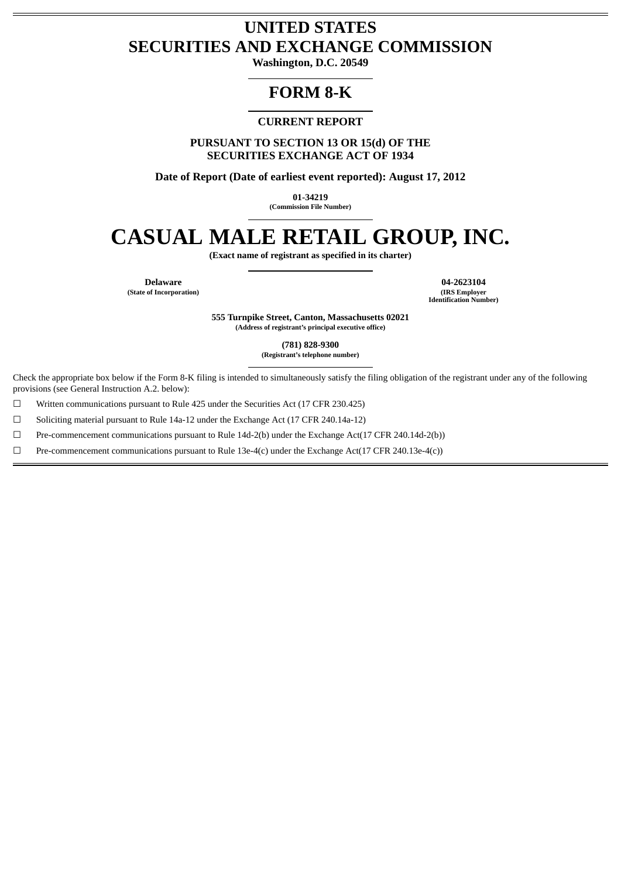# **UNITED STATES SECURITIES AND EXCHANGE COMMISSION**

**Washington, D.C. 20549**

# **FORM 8-K**

# **CURRENT REPORT**

**PURSUANT TO SECTION 13 OR 15(d) OF THE SECURITIES EXCHANGE ACT OF 1934**

**Date of Report (Date of earliest event reported): August 17, 2012**

**01-34219 (Commission File Number)**

# **CASUAL MALE RETAIL GROUP, INC.**

**(Exact name of registrant as specified in its charter)**

**Delaware 04-2623104 (State of Incorporation) (IRS Employer Identification Number)**

> **555 Turnpike Street, Canton, Massachusetts 02021 (Address of registrant's principal executive office)**

> > **(781) 828-9300**

**(Registrant's telephone number)**

Check the appropriate box below if the Form 8-K filing is intended to simultaneously satisfy the filing obligation of the registrant under any of the following provisions (see General Instruction A.2. below):

☐ Written communications pursuant to Rule 425 under the Securities Act (17 CFR 230.425)

☐ Soliciting material pursuant to Rule 14a-12 under the Exchange Act (17 CFR 240.14a-12)

☐ Pre-commencement communications pursuant to Rule 14d-2(b) under the Exchange Act(17 CFR 240.14d-2(b))

 $\Box$  Pre-commencement communications pursuant to Rule 13e-4(c) under the Exchange Act(17 CFR 240.13e-4(c))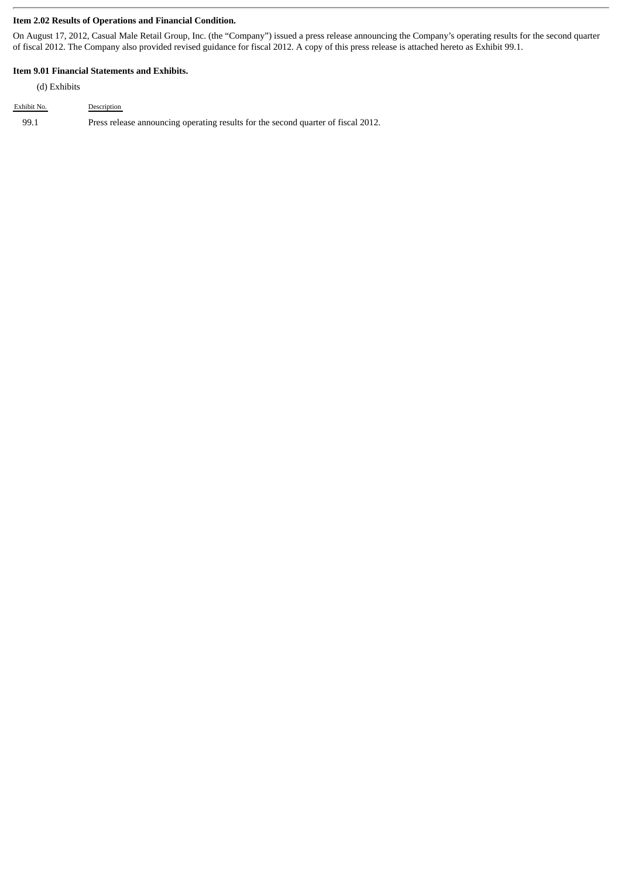### **Item 2.02 Results of Operations and Financial Condition.**

On August 17, 2012, Casual Male Retail Group, Inc. (the "Company") issued a press release announcing the Company's operating results for the second quarter of fiscal 2012. The Company also provided revised guidance for fiscal 2012. A copy of this press release is attached hereto as Exhibit 99.1.

## **Item 9.01 Financial Statements and Exhibits.**

(d) Exhibits

| Exhibit No. | Description                                                                       |
|-------------|-----------------------------------------------------------------------------------|
| 99.1        | Press release announcing operating results for the second quarter of fiscal 2012. |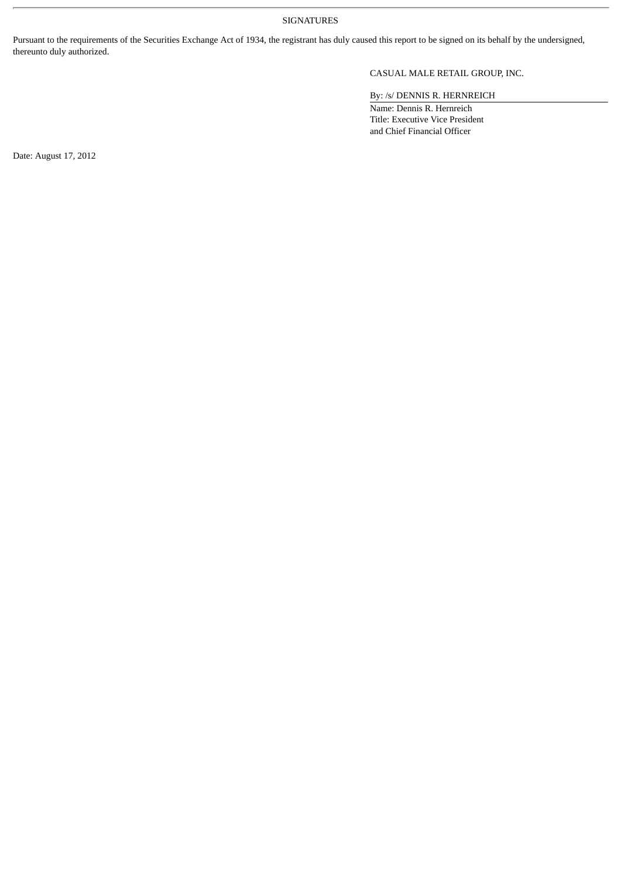SIGNATURES

Pursuant to the requirements of the Securities Exchange Act of 1934, the registrant has duly caused this report to be signed on its behalf by the undersigned, thereunto duly authorized.

# CASUAL MALE RETAIL GROUP, INC.

By: /s/ DENNIS R. HERNREICH

Name: Dennis R. Hernreich Title: Executive Vice President and Chief Financial Officer

Date: August 17, 2012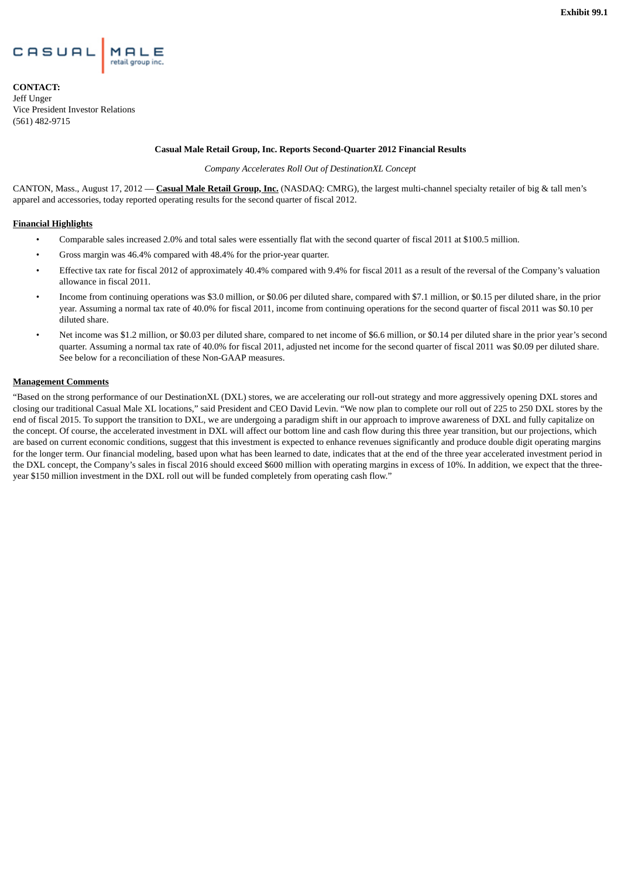

**CONTACT:** Jeff Unger Vice President Investor Relations (561) 482-9715

#### **Casual Male Retail Group, Inc. Reports Second-Quarter 2012 Financial Results**

#### *Company Accelerates Roll Out of DestinationXL Concept*

CANTON, Mass., August 17, 2012 — **Casual Male Retail Group, Inc.** (NASDAQ: CMRG), the largest multi-channel specialty retailer of big & tall men's apparel and accessories, today reported operating results for the second quarter of fiscal 2012.

#### **Financial Highlights**

- Comparable sales increased 2.0% and total sales were essentially flat with the second quarter of fiscal 2011 at \$100.5 million.
- Gross margin was 46.4% compared with 48.4% for the prior-year quarter.
- Effective tax rate for fiscal 2012 of approximately 40.4% compared with 9.4% for fiscal 2011 as a result of the reversal of the Company's valuation allowance in fiscal 2011.
- Income from continuing operations was \$3.0 million, or \$0.06 per diluted share, compared with \$7.1 million, or \$0.15 per diluted share, in the prior year. Assuming a normal tax rate of 40.0% for fiscal 2011, income from continuing operations for the second quarter of fiscal 2011 was \$0.10 per diluted share.
- Net income was \$1.2 million, or \$0.03 per diluted share, compared to net income of \$6.6 million, or \$0.14 per diluted share in the prior year's second quarter. Assuming a normal tax rate of 40.0% for fiscal 2011, adjusted net income for the second quarter of fiscal 2011 was \$0.09 per diluted share. See below for a reconciliation of these Non-GAAP measures.

#### **Management Comments**

"Based on the strong performance of our DestinationXL (DXL) stores, we are accelerating our roll-out strategy and more aggressively opening DXL stores and closing our traditional Casual Male XL locations," said President and CEO David Levin. "We now plan to complete our roll out of 225 to 250 DXL stores by the end of fiscal 2015. To support the transition to DXL, we are undergoing a paradigm shift in our approach to improve awareness of DXL and fully capitalize on the concept. Of course, the accelerated investment in DXL will affect our bottom line and cash flow during this three year transition, but our projections, which are based on current economic conditions, suggest that this investment is expected to enhance revenues significantly and produce double digit operating margins for the longer term. Our financial modeling, based upon what has been learned to date, indicates that at the end of the three year accelerated investment period in the DXL concept, the Company's sales in fiscal 2016 should exceed \$600 million with operating margins in excess of 10%. In addition, we expect that the threeyear \$150 million investment in the DXL roll out will be funded completely from operating cash flow."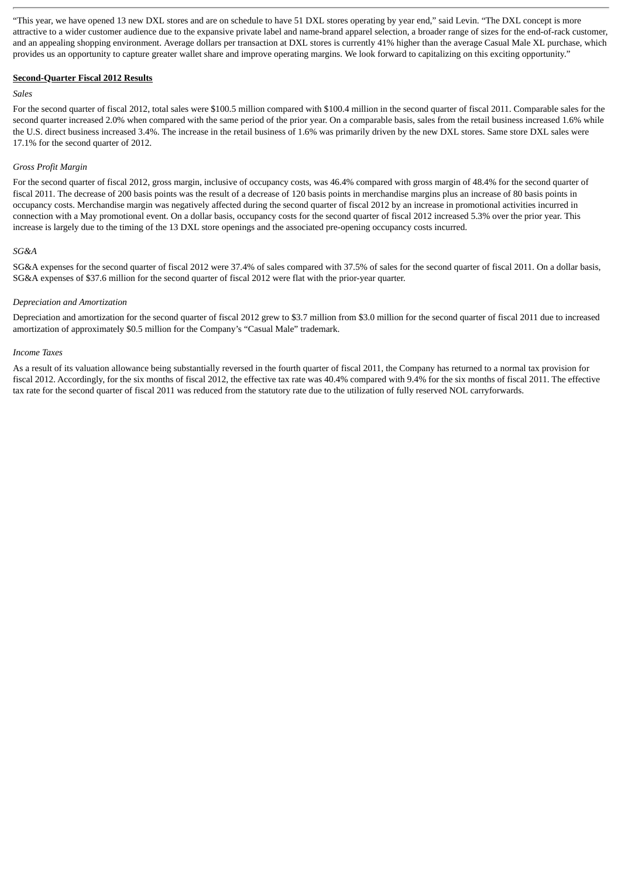"This year, we have opened 13 new DXL stores and are on schedule to have 51 DXL stores operating by year end," said Levin. "The DXL concept is more attractive to a wider customer audience due to the expansive private label and name-brand apparel selection, a broader range of sizes for the end-of-rack customer, and an appealing shopping environment. Average dollars per transaction at DXL stores is currently 41% higher than the average Casual Male XL purchase, which provides us an opportunity to capture greater wallet share and improve operating margins. We look forward to capitalizing on this exciting opportunity."

#### **Second-Quarter Fiscal 2012 Results**

#### *Sales*

For the second quarter of fiscal 2012, total sales were \$100.5 million compared with \$100.4 million in the second quarter of fiscal 2011. Comparable sales for the second quarter increased 2.0% when compared with the same period of the prior year. On a comparable basis, sales from the retail business increased 1.6% while the U.S. direct business increased 3.4%. The increase in the retail business of 1.6% was primarily driven by the new DXL stores. Same store DXL sales were 17.1% for the second quarter of 2012.

#### *Gross Profit Margin*

For the second quarter of fiscal 2012, gross margin, inclusive of occupancy costs, was 46.4% compared with gross margin of 48.4% for the second quarter of fiscal 2011. The decrease of 200 basis points was the result of a decrease of 120 basis points in merchandise margins plus an increase of 80 basis points in occupancy costs. Merchandise margin was negatively affected during the second quarter of fiscal 2012 by an increase in promotional activities incurred in connection with a May promotional event. On a dollar basis, occupancy costs for the second quarter of fiscal 2012 increased 5.3% over the prior year. This increase is largely due to the timing of the 13 DXL store openings and the associated pre-opening occupancy costs incurred.

#### *SG&A*

SG&A expenses for the second quarter of fiscal 2012 were 37.4% of sales compared with 37.5% of sales for the second quarter of fiscal 2011. On a dollar basis, SG&A expenses of \$37.6 million for the second quarter of fiscal 2012 were flat with the prior-year quarter.

#### *Depreciation and Amortization*

Depreciation and amortization for the second quarter of fiscal 2012 grew to \$3.7 million from \$3.0 million for the second quarter of fiscal 2011 due to increased amortization of approximately \$0.5 million for the Company's "Casual Male" trademark.

#### *Income Taxes*

As a result of its valuation allowance being substantially reversed in the fourth quarter of fiscal 2011, the Company has returned to a normal tax provision for fiscal 2012. Accordingly, for the six months of fiscal 2012, the effective tax rate was 40.4% compared with 9.4% for the six months of fiscal 2011. The effective tax rate for the second quarter of fiscal 2011 was reduced from the statutory rate due to the utilization of fully reserved NOL carryforwards.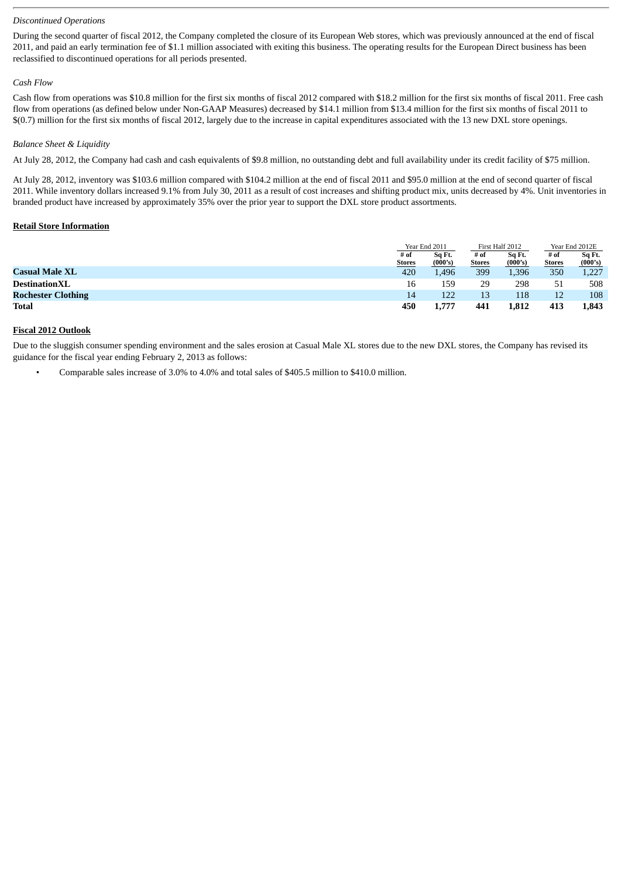#### *Discontinued Operations*

During the second quarter of fiscal 2012, the Company completed the closure of its European Web stores, which was previously announced at the end of fiscal 2011, and paid an early termination fee of \$1.1 million associated with exiting this business. The operating results for the European Direct business has been reclassified to discontinued operations for all periods presented.

#### *Cash Flow*

Cash flow from operations was \$10.8 million for the first six months of fiscal 2012 compared with \$18.2 million for the first six months of fiscal 2011. Free cash flow from operations (as defined below under Non-GAAP Measures) decreased by \$14.1 million from \$13.4 million for the first six months of fiscal 2011 to \$(0.7) million for the first six months of fiscal 2012, largely due to the increase in capital expenditures associated with the 13 new DXL store openings.

#### *Balance Sheet & Liquidity*

At July 28, 2012, the Company had cash and cash equivalents of \$9.8 million, no outstanding debt and full availability under its credit facility of \$75 million.

At July 28, 2012, inventory was \$103.6 million compared with \$104.2 million at the end of fiscal 2011 and \$95.0 million at the end of second quarter of fiscal 2011. While inventory dollars increased 9.1% from July 30, 2011 as a result of cost increases and shifting product mix, units decreased by 4%. Unit inventories in branded product have increased by approximately 35% over the prior year to support the DXL store product assortments.

#### **Retail Store Information**

|                           |                       | Year End 2011     |                       | First Half 2012   | Year End 2012E        |                   |
|---------------------------|-----------------------|-------------------|-----------------------|-------------------|-----------------------|-------------------|
|                           | # of<br><b>Stores</b> | Sq Ft.<br>(000's) | # of<br><b>Stores</b> | Sq Ft.<br>(000's) | # of<br><b>Stores</b> | Sq Ft.<br>(000's) |
| <b>Casual Male XL</b>     | 420                   | 1,496             | 399                   | 1,396             | 350                   | 1,227             |
| DestinationXL             | 16                    | 159               | 29                    | 298               | 51                    | 508               |
| <b>Rochester Clothing</b> | 14                    | 122               | 13                    | 118               |                       | 108               |
| <b>Total</b>              | 450                   | 1,777             | 441                   | 1,812             | 413                   | 1,843             |

#### **Fiscal 2012 Outlook**

Due to the sluggish consumer spending environment and the sales erosion at Casual Male XL stores due to the new DXL stores, the Company has revised its guidance for the fiscal year ending February 2, 2013 as follows:

• Comparable sales increase of 3.0% to 4.0% and total sales of \$405.5 million to \$410.0 million.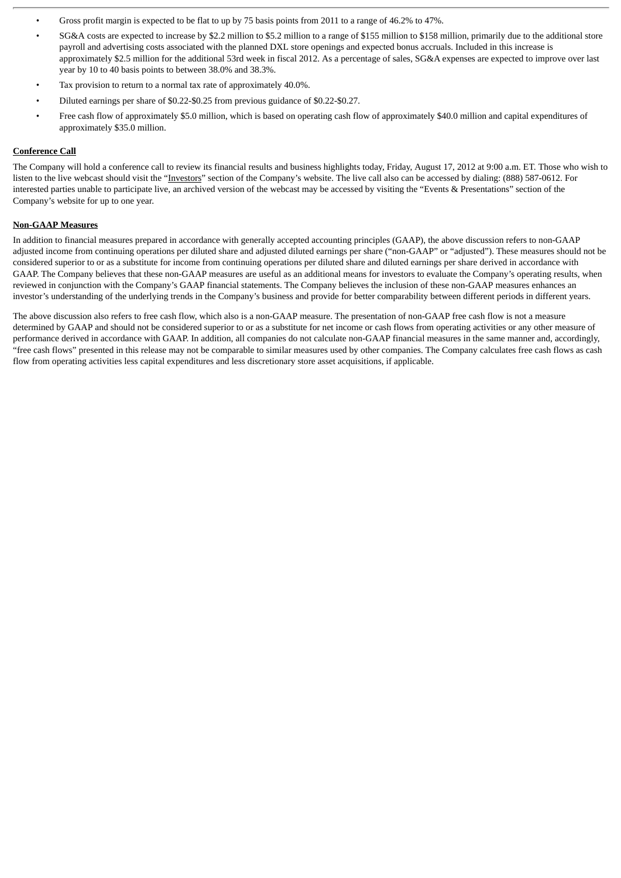- Gross profit margin is expected to be flat to up by 75 basis points from 2011 to a range of 46.2% to 47%.
- SG&A costs are expected to increase by \$2.2 million to \$5.2 million to a range of \$155 million to \$158 million, primarily due to the additional store payroll and advertising costs associated with the planned DXL store openings and expected bonus accruals. Included in this increase is approximately \$2.5 million for the additional 53rd week in fiscal 2012. As a percentage of sales, SG&A expenses are expected to improve over last year by 10 to 40 basis points to between 38.0% and 38.3%.
- Tax provision to return to a normal tax rate of approximately 40.0%.
- Diluted earnings per share of \$0.22-\$0.25 from previous guidance of \$0.22-\$0.27.
- Free cash flow of approximately \$5.0 million, which is based on operating cash flow of approximately \$40.0 million and capital expenditures of approximately \$35.0 million.

#### **Conference Call**

The Company will hold a conference call to review its financial results and business highlights today, Friday, August 17, 2012 at 9:00 a.m. ET. Those who wish to listen to the live webcast should visit the "Investors" section of the Company's website. The live call also can be accessed by dialing: (888) 587-0612. For interested parties unable to participate live, an archived version of the webcast may be accessed by visiting the "Events & Presentations" section of the Company's website for up to one year.

#### **Non-GAAP Measures**

In addition to financial measures prepared in accordance with generally accepted accounting principles (GAAP), the above discussion refers to non-GAAP adjusted income from continuing operations per diluted share and adjusted diluted earnings per share ("non-GAAP" or "adjusted"). These measures should not be considered superior to or as a substitute for income from continuing operations per diluted share and diluted earnings per share derived in accordance with GAAP. The Company believes that these non-GAAP measures are useful as an additional means for investors to evaluate the Company's operating results, when reviewed in conjunction with the Company's GAAP financial statements. The Company believes the inclusion of these non-GAAP measures enhances an investor's understanding of the underlying trends in the Company's business and provide for better comparability between different periods in different years.

The above discussion also refers to free cash flow, which also is a non-GAAP measure. The presentation of non-GAAP free cash flow is not a measure determined by GAAP and should not be considered superior to or as a substitute for net income or cash flows from operating activities or any other measure of performance derived in accordance with GAAP. In addition, all companies do not calculate non-GAAP financial measures in the same manner and, accordingly, "free cash flows" presented in this release may not be comparable to similar measures used by other companies. The Company calculates free cash flows as cash flow from operating activities less capital expenditures and less discretionary store asset acquisitions, if applicable.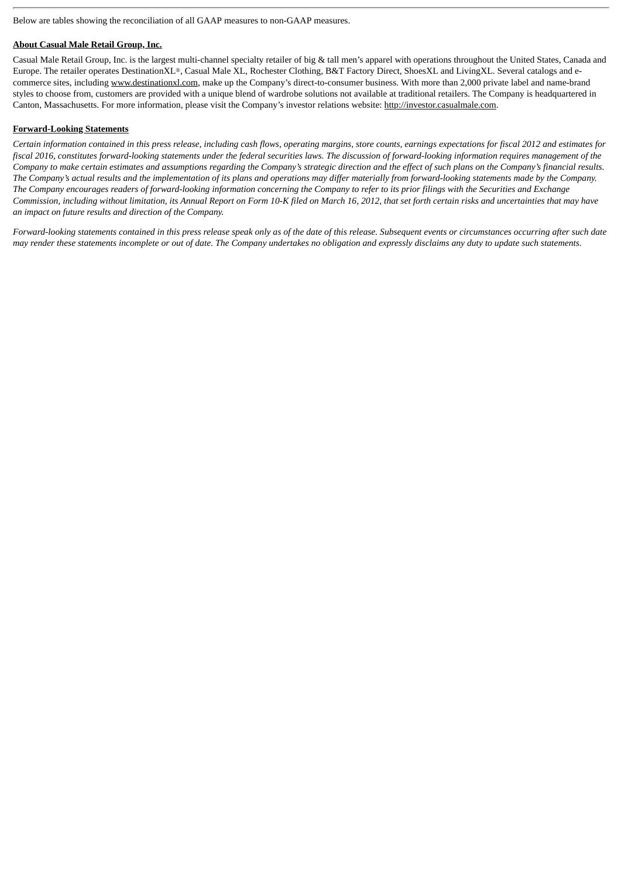Below are tables showing the reconciliation of all GAAP measures to non-GAAP measures.

#### **About Casual Male Retail Group, Inc.**

Casual Male Retail Group, Inc. is the largest multi-channel specialty retailer of big & tall men's apparel with operations throughout the United States, Canada and Europe. The retailer operates DestinationXL®, Casual Male XL, Rochester Clothing, B&T Factory Direct, ShoesXL and LivingXL. Several catalogs and ecommerce sites, including www.destinationxl.com, make up the Company's direct-to-consumer business. With more than 2,000 private label and name-brand styles to choose from, customers are provided with a unique blend of wardrobe solutions not available at traditional retailers. The Company is headquartered in Canton, Massachusetts. For more information, please visit the Company's investor relations website: http://investor.casualmale.com.

#### **Forward-Looking Statements**

*Certain information contained in this press release, including cash flows, operating margins, store counts, earnings expectations for fiscal 2012 and estimates for fiscal 2016, constitutes forward-looking statements under the federal securities laws. The discussion of forward-looking information requires management of the Company to make certain estimates and assumptions regarding the Company's strategic direction and the effect of such plans on the Company's financial results. The Company's actual results and the implementation of its plans and operations may differ materially from forward-looking statements made by the Company. The Company encourages readers of forward-looking information concerning the Company to refer to its prior filings with the Securities and Exchange Commission, including without limitation, its Annual Report on Form 10-K filed on March 16, 2012, that set forth certain risks and uncertainties that may have an impact on future results and direction of the Company.*

*Forward-looking statements contained in this press release speak only as of the date of this release. Subsequent events or circumstances occurring after such date may render these statements incomplete or out of date. The Company undertakes no obligation and expressly disclaims any duty to update such statements.*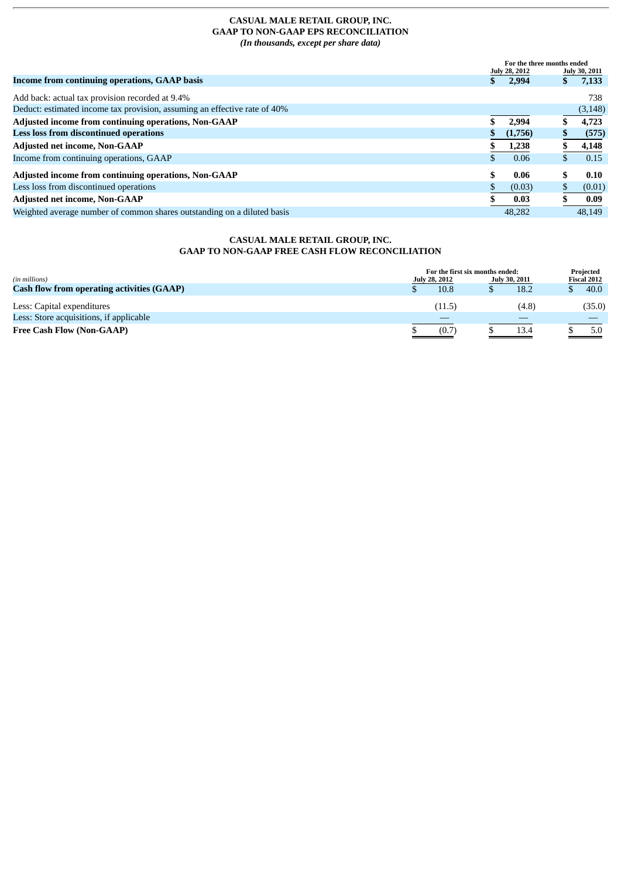#### **CASUAL MALE RETAIL GROUP, INC. GAAP TO NON-GAAP EPS RECONCILIATION** *(In thousands, except per share data)*

 **For the three months ended July 28, 2012 July 30, 2011 Income from continuing operations, GAAP basis basis Example 2012 Example 2012 Example 2014 30, 2012 Example 2014 Example 2014 Example 2014 Example 2014 Example 2014 Example 2014 Example 2014 Exam** Add back: actual tax provision recorded at  $9.4\%$ Deduct: estimated income tax provision, assuming an effective rate of 40% (3,148)<br>
Adjusted income from continuing operations, Non-GAAP (3,148) **Adjusted income from continuing operations, Non-GAAP <b>Adjusted income from continuing operations A A 4,756 \$ 4,756 \$ 4,756 \$ 4,756 \$ 4,755 \$ 4,755 \$ 4,755 \$ 4,755 \$ 4,755 \$ 4,75 Less loss from discontinued operations \$ (1,756) \$ (575) Adjusted net income, Non-GAAP \$ 1,238 \$ 4,148**  Income from continuing operations, GAAP **5** 0.06 \$ 0.15 **Adjusted income from continuing operations, Non-GAAP \$ 0.06 \$ 0.10**  Less loss from discontinued operations  $\qquad \qquad$  (0.03)  $\qquad \qquad$  (0.03)  $\qquad \qquad$  (0.03)  $\qquad \qquad$  (0.01) **Adjusted net income, Non-GAAP \$ 0.03 \$ 0.09 \$ 0.09 \$ 0.09 \$ 148,282 \$ 148,282 \$ 148,149 \$ 148,149 \$ 148,282 \$ 148,149 \$ 148,149 \$ 148,149 \$ 148,149 \$ 148,149 \$ 1** Weighted average number of common shares outstanding on a diluted basis 48,282 48,282

#### **CASUAL MALE RETAIL GROUP, INC. GAAP TO NON-GAAP FREE CASH FLOW RECONCILIATION**

| (in millions)<br><b>Cash flow from operating activities (GAAP)</b> | For the first six months ended:<br><b>July 28, 2012</b><br>10.8 | <b>July 30, 2011</b><br>18.2 | Projected<br>Fiscal 2012<br>40.0 |
|--------------------------------------------------------------------|-----------------------------------------------------------------|------------------------------|----------------------------------|
| Less: Capital expenditures                                         | (11.5)                                                          | (4.8)                        | (35.0)                           |
| Less: Store acquisitions, if applicable                            |                                                                 |                              |                                  |
| <b>Free Cash Flow (Non-GAAP)</b>                                   | (0.7)                                                           | 13.4                         | 5.0                              |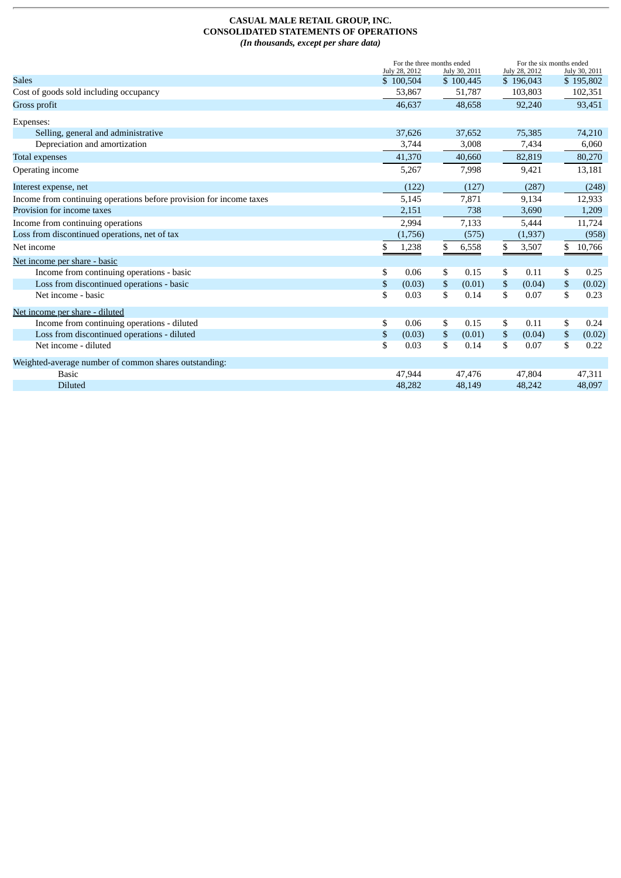# **CASUAL MALE RETAIL GROUP, INC. CONSOLIDATED STATEMENTS OF OPERATIONS** *(In thousands, except per share data)*

|                                                                     | For the three months ended |    |                            | For the six months ended |                            |    |                            |  |
|---------------------------------------------------------------------|----------------------------|----|----------------------------|--------------------------|----------------------------|----|----------------------------|--|
| <b>Sales</b>                                                        | July 28, 2012<br>\$100,504 |    | July 30, 2011<br>\$100,445 |                          | July 28, 2012<br>\$196,043 |    | July 30, 2011<br>\$195,802 |  |
| Cost of goods sold including occupancy                              | 53,867                     |    | 51,787                     |                          | 103,803                    |    | 102,351                    |  |
|                                                                     | 46.637                     |    | 48,658                     |                          | 92,240                     |    | 93,451                     |  |
| Gross profit                                                        |                            |    |                            |                          |                            |    |                            |  |
| Expenses:                                                           |                            |    |                            |                          |                            |    |                            |  |
| Selling, general and administrative                                 | 37,626                     |    | 37,652                     |                          | 75,385                     |    | 74,210                     |  |
| Depreciation and amortization                                       | 3,744                      |    | 3,008                      |                          | 7,434                      |    | 6,060                      |  |
| <b>Total expenses</b>                                               | 41,370                     |    | 40,660                     |                          | 82,819                     |    | 80,270                     |  |
| Operating income                                                    | 5,267                      |    | 7,998                      |                          | 9,421                      |    | 13,181                     |  |
| Interest expense, net                                               | (122)                      |    | (127)                      |                          | (287)                      |    | (248)                      |  |
| Income from continuing operations before provision for income taxes | 5,145                      |    | 7,871                      |                          | 9,134                      |    | 12,933                     |  |
| Provision for income taxes                                          | 2,151                      |    | 738                        |                          | 3,690                      |    | 1,209                      |  |
| Income from continuing operations                                   | 2,994                      |    | 7,133                      |                          | 5,444                      |    | 11,724                     |  |
| Loss from discontinued operations, net of tax                       | (1,756)                    |    | (575)                      |                          | (1,937)                    |    | (958)                      |  |
| Net income                                                          | \$<br>1,238                | \$ | 6,558                      | S.                       | 3,507                      |    | \$10,766                   |  |
| Net income per share - basic                                        |                            |    |                            |                          |                            |    |                            |  |
| Income from continuing operations - basic                           | \$<br>0.06                 | \$ | 0.15                       | \$                       | 0.11                       | \$ | 0.25                       |  |
| Loss from discontinued operations - basic                           | \$<br>(0.03)               | \$ | (0.01)                     | \$                       | (0.04)                     | \$ | (0.02)                     |  |
| Net income - basic                                                  | \$<br>0.03                 | \$ | 0.14                       | \$                       | 0.07                       | \$ | 0.23                       |  |
| Net income per share - diluted                                      |                            |    |                            |                          |                            |    |                            |  |
| Income from continuing operations - diluted                         | \$<br>0.06                 | \$ | 0.15                       | \$                       | 0.11                       | \$ | 0.24                       |  |
| Loss from discontinued operations - diluted                         | \$<br>(0.03)               | \$ | (0.01)                     | \$                       | (0.04)                     | \$ | (0.02)                     |  |
| Net income - diluted                                                | \$<br>0.03                 | \$ | 0.14                       | \$                       | 0.07                       | \$ | 0.22                       |  |
| Weighted-average number of common shares outstanding:               |                            |    |                            |                          |                            |    |                            |  |
| <b>Basic</b>                                                        | 47,944                     |    | 47,476                     |                          | 47,804                     |    | 47,311                     |  |
| <b>Diluted</b>                                                      | 48,282                     |    | 48,149                     |                          | 48,242                     |    | 48,097                     |  |